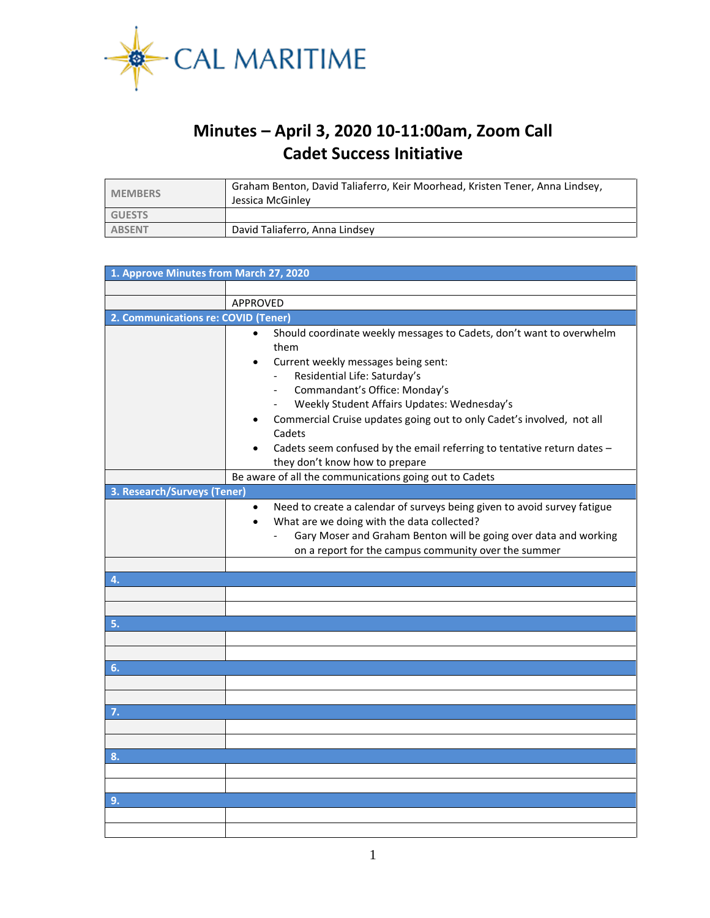

## **Minutes – April 3, 2020 10-11:00am, Zoom Call Cadet Success Initiative**

| <b>MEMBERS</b> | Graham Benton, David Taliaferro, Keir Moorhead, Kristen Tener, Anna Lindsey,<br>Jessica McGinley |
|----------------|--------------------------------------------------------------------------------------------------|
| <b>GUESTS</b>  |                                                                                                  |
| <b>ABSENT</b>  | David Taliaferro, Anna Lindsey                                                                   |

| 1. Approve Minutes from March 27, 2020                 |                                                                                                                                                                                                                                                                                                          |  |  |  |
|--------------------------------------------------------|----------------------------------------------------------------------------------------------------------------------------------------------------------------------------------------------------------------------------------------------------------------------------------------------------------|--|--|--|
|                                                        |                                                                                                                                                                                                                                                                                                          |  |  |  |
|                                                        | APPROVED                                                                                                                                                                                                                                                                                                 |  |  |  |
| 2. Communications re: COVID (Tener)                    |                                                                                                                                                                                                                                                                                                          |  |  |  |
|                                                        | Should coordinate weekly messages to Cadets, don't want to overwhelm<br>$\bullet$<br>them<br>Current weekly messages being sent:                                                                                                                                                                         |  |  |  |
|                                                        | Residential Life: Saturday's<br>$\overline{\phantom{a}}$<br>Commandant's Office: Monday's<br>$\overline{\phantom{0}}$<br>Weekly Student Affairs Updates: Wednesday's                                                                                                                                     |  |  |  |
|                                                        | Commercial Cruise updates going out to only Cadet's involved, not all<br>Cadets<br>Cadets seem confused by the email referring to tentative return dates -                                                                                                                                               |  |  |  |
|                                                        | they don't know how to prepare                                                                                                                                                                                                                                                                           |  |  |  |
| Be aware of all the communications going out to Cadets |                                                                                                                                                                                                                                                                                                          |  |  |  |
| 3. Research/Surveys (Tener)                            |                                                                                                                                                                                                                                                                                                          |  |  |  |
|                                                        | Need to create a calendar of surveys being given to avoid survey fatigue<br>$\bullet$<br>What are we doing with the data collected?<br>$\bullet$<br>Gary Moser and Graham Benton will be going over data and working<br>$\overline{\phantom{0}}$<br>on a report for the campus community over the summer |  |  |  |
|                                                        |                                                                                                                                                                                                                                                                                                          |  |  |  |
| 4.                                                     |                                                                                                                                                                                                                                                                                                          |  |  |  |
|                                                        |                                                                                                                                                                                                                                                                                                          |  |  |  |
|                                                        |                                                                                                                                                                                                                                                                                                          |  |  |  |
| 5.                                                     |                                                                                                                                                                                                                                                                                                          |  |  |  |
|                                                        |                                                                                                                                                                                                                                                                                                          |  |  |  |
|                                                        |                                                                                                                                                                                                                                                                                                          |  |  |  |
| 6.                                                     |                                                                                                                                                                                                                                                                                                          |  |  |  |
|                                                        |                                                                                                                                                                                                                                                                                                          |  |  |  |
|                                                        |                                                                                                                                                                                                                                                                                                          |  |  |  |
| 7.                                                     |                                                                                                                                                                                                                                                                                                          |  |  |  |
|                                                        |                                                                                                                                                                                                                                                                                                          |  |  |  |
|                                                        |                                                                                                                                                                                                                                                                                                          |  |  |  |
| 8.                                                     |                                                                                                                                                                                                                                                                                                          |  |  |  |
|                                                        |                                                                                                                                                                                                                                                                                                          |  |  |  |
|                                                        |                                                                                                                                                                                                                                                                                                          |  |  |  |
| 9.                                                     |                                                                                                                                                                                                                                                                                                          |  |  |  |
|                                                        |                                                                                                                                                                                                                                                                                                          |  |  |  |